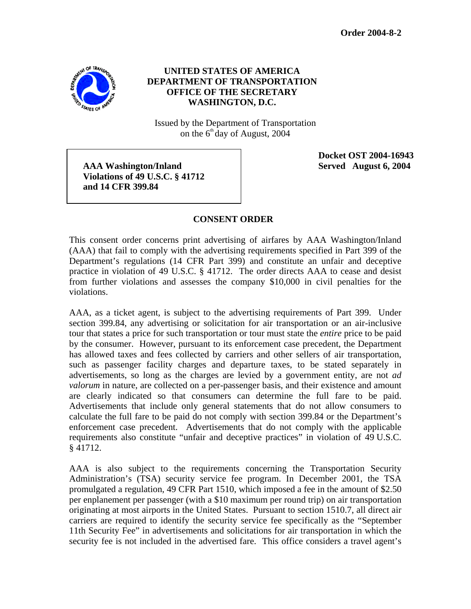

## **UNITED STATES OF AMERICA DEPARTMENT OF TRANSPORTATION OFFICE OF THE SECRETARY WASHINGTON, D.C.**

Issued by the Department of Transportation on the  $6<sup>th</sup>$  day of August, 2004

 **AAA Washington/Inland Served August 6, 2004 Violations of 49 U.S.C. § 41712 and 14 CFR 399.84** 

 **Docket OST 2004-16943** 

## **CONSENT ORDER**

This consent order concerns print advertising of airfares by AAA Washington/Inland (AAA) that fail to comply with the advertising requirements specified in Part 399 of the Department's regulations (14 CFR Part 399) and constitute an unfair and deceptive practice in violation of 49 U.S.C. § 41712. The order directs AAA to cease and desist from further violations and assesses the company \$10,000 in civil penalties for the violations.

AAA, as a ticket agent, is subject to the advertising requirements of Part 399. Under section 399.84, any advertising or solicitation for air transportation or an air-inclusive tour that states a price for such transportation or tour must state the *entire* price to be paid by the consumer. However, pursuant to its enforcement case precedent, the Department has allowed taxes and fees collected by carriers and other sellers of air transportation, such as passenger facility charges and departure taxes, to be stated separately in advertisements, so long as the charges are levied by a government entity, are not *ad valorum* in nature, are collected on a per-passenger basis, and their existence and amount are clearly indicated so that consumers can determine the full fare to be paid. Advertisements that include only general statements that do not allow consumers to calculate the full fare to be paid do not comply with section 399.84 or the Department's enforcement case precedent. Advertisements that do not comply with the applicable requirements also constitute "unfair and deceptive practices" in violation of 49 U.S.C. § 41712.

AAA is also subject to the requirements concerning the Transportation Security Administration's (TSA) security service fee program. In December 2001, the TSA promulgated a regulation, 49 CFR Part 1510, which imposed a fee in the amount of \$2.50 per enplanement per passenger (with a \$10 maximum per round trip) on air transportation originating at most airports in the United States. Pursuant to section 1510.7, all direct air carriers are required to identify the security service fee specifically as the "September 11th Security Fee" in advertisements and solicitations for air transportation in which the security fee is not included in the advertised fare. This office considers a travel agent's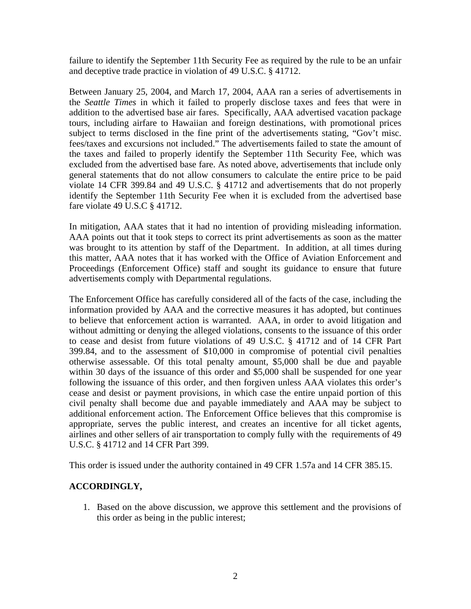failure to identify the September 11th Security Fee as required by the rule to be an unfair and deceptive trade practice in violation of 49 U.S.C. § 41712.

Between January 25, 2004, and March 17, 2004, AAA ran a series of advertisements in the *Seattle Times* in which it failed to properly disclose taxes and fees that were in addition to the advertised base air fares. Specifically, AAA advertised vacation package tours, including airfare to Hawaiian and foreign destinations, with promotional prices subject to terms disclosed in the fine print of the advertisements stating, "Gov't misc. fees/taxes and excursions not included." The advertisements failed to state the amount of the taxes and failed to properly identify the September 11th Security Fee, which was excluded from the advertised base fare. As noted above, advertisements that include only general statements that do not allow consumers to calculate the entire price to be paid violate 14 CFR 399.84 and 49 U.S.C. § 41712 and advertisements that do not properly identify the September 11th Security Fee when it is excluded from the advertised base fare violate 49 U.S.C § 41712.

In mitigation, AAA states that it had no intention of providing misleading information. AAA points out that it took steps to correct its print advertisements as soon as the matter was brought to its attention by staff of the Department. In addition, at all times during this matter, AAA notes that it has worked with the Office of Aviation Enforcement and Proceedings (Enforcement Office) staff and sought its guidance to ensure that future advertisements comply with Departmental regulations.

The Enforcement Office has carefully considered all of the facts of the case, including the information provided by AAA and the corrective measures it has adopted, but continues to believe that enforcement action is warranted. AAA, in order to avoid litigation and without admitting or denying the alleged violations, consents to the issuance of this order to cease and desist from future violations of 49 U.S.C. § 41712 and of 14 CFR Part 399.84, and to the assessment of \$10,000 in compromise of potential civil penalties otherwise assessable. Of this total penalty amount, \$5,000 shall be due and payable within 30 days of the issuance of this order and \$5,000 shall be suspended for one year following the issuance of this order, and then forgiven unless AAA violates this order's cease and desist or payment provisions, in which case the entire unpaid portion of this civil penalty shall become due and payable immediately and AAA may be subject to additional enforcement action. The Enforcement Office believes that this compromise is appropriate, serves the public interest, and creates an incentive for all ticket agents, airlines and other sellers of air transportation to comply fully with the requirements of 49 U.S.C. § 41712 and 14 CFR Part 399.

This order is issued under the authority contained in 49 CFR 1.57a and 14 CFR 385.15.

## **ACCORDINGLY,**

1. Based on the above discussion, we approve this settlement and the provisions of this order as being in the public interest;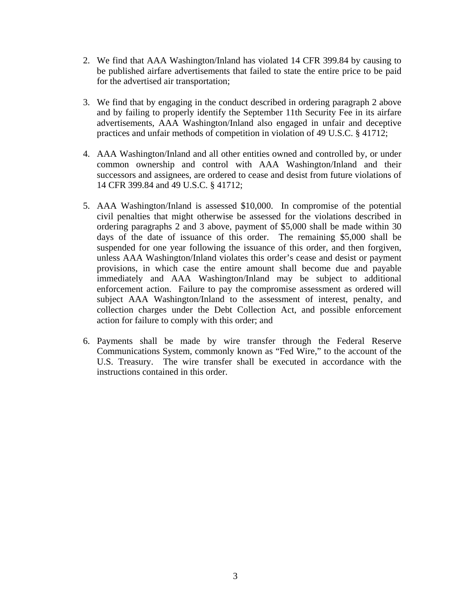- 2. We find that AAA Washington/Inland has violated 14 CFR 399.84 by causing to be published airfare advertisements that failed to state the entire price to be paid for the advertised air transportation;
- 3. We find that by engaging in the conduct described in ordering paragraph 2 above and by failing to properly identify the September 11th Security Fee in its airfare advertisements, AAA Washington/Inland also engaged in unfair and deceptive practices and unfair methods of competition in violation of 49 U.S.C. § 41712;
- 4. AAA Washington/Inland and all other entities owned and controlled by, or under common ownership and control with AAA Washington/Inland and their successors and assignees, are ordered to cease and desist from future violations of 14 CFR 399.84 and 49 U.S.C. § 41712;
- 5. AAA Washington/Inland is assessed \$10,000. In compromise of the potential civil penalties that might otherwise be assessed for the violations described in ordering paragraphs 2 and 3 above, payment of \$5,000 shall be made within 30 days of the date of issuance of this order. The remaining \$5,000 shall be suspended for one year following the issuance of this order, and then forgiven, unless AAA Washington/Inland violates this order's cease and desist or payment provisions, in which case the entire amount shall become due and payable immediately and AAA Washington/Inland may be subject to additional enforcement action. Failure to pay the compromise assessment as ordered will subject AAA Washington/Inland to the assessment of interest, penalty, and collection charges under the Debt Collection Act, and possible enforcement action for failure to comply with this order; and
- 6. Payments shall be made by wire transfer through the Federal Reserve Communications System, commonly known as "Fed Wire," to the account of the U.S. Treasury. The wire transfer shall be executed in accordance with the instructions contained in this order.